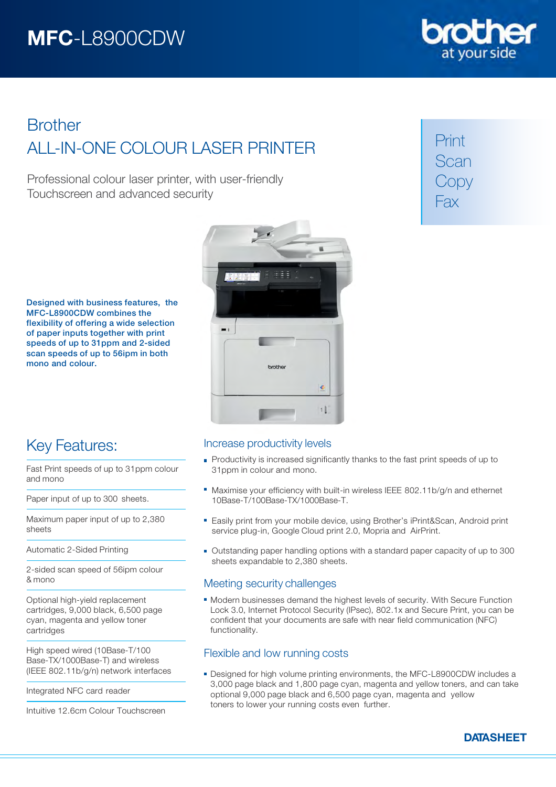

# **Brother** ALL-IN-ONE COLOUR LASER PRINTER

Professional colour laser printer, with user-friendly Touchscreen and advanced security

Print Scan Copy Fax

Designed with business features, the MFC-L8900CDW combines the flexibility of offering a wide selection of paper inputs together with print speeds of up to 31ppm and 2-sided scan speeds of up to 56ipm in both mono and colour.



# Key Features:

Fast Print speeds of up to 31ppm colour and mono

Paper input of up to 300 sheets.

Maximum paper input of up to 2,380 sheets

Automatic 2-Sided Printing

2-sided scan speed of 56ipm colour & mono

Optional high-yield replacement cartridges, 9,000 black, 6,500 page cyan, magenta and yellow toner cartridges

High speed wired (10Base-T/100 Base-TX/1000Base-T) and wireless (IEEE 802.11b/g/n) network interfaces

Integrated NFC card reader

Intuitive 12.6cm Colour Touchscreen

## Increase productivity levels

- Productivity is increased significantly thanks to the fast print speeds of up to 31ppm in colour and mono.
- Maximise your efficiency with built-in wireless IEEE 802.11b/g/n and ethernet 10Base-T/100Base-TX/1000Base-T.
- Easily print from your mobile device, using Brother's iPrint&Scan, Android print service plug-in, Google Cloud print 2.0, Mopria and AirPrint.
- Outstanding paper handling options with a standard paper capacity of up to 300 sheets expandable to 2,380 sheets.

## Meeting security challenges

Modern businesses demand the highest levels of security. With Secure Function Lock 3.0, Internet Protocol Security (IPsec), 802.1x and Secure Print, you can be confident that your documents are safe with near field communication (NFC) functionality.

# Flexible and low running costs

Designed for high volume printing environments, the MFC-L8900CDW includes a 3,000 page black and 1,800 page cyan, magenta and yellow toners, and can take optional 9,000 page black and 6,500 page cyan, magenta and yellow toners to lower your running costs even further.

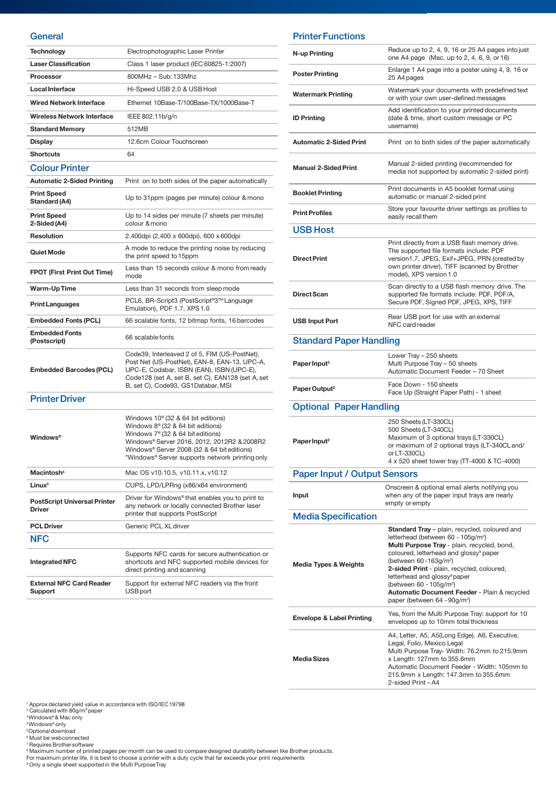### **General**

| Technology                                           | Electrophotographic Laser Printer                                                                                                                                                                                                                                                           |
|------------------------------------------------------|---------------------------------------------------------------------------------------------------------------------------------------------------------------------------------------------------------------------------------------------------------------------------------------------|
| <b>Laser Classification</b>                          | Class 1 laser product (IEC 60825-1:2007)                                                                                                                                                                                                                                                    |
| <b>Processor</b>                                     | 800MHz - Sub: 133Mhz                                                                                                                                                                                                                                                                        |
| <b>Local Interface</b>                               | Hi-Speed USB 2.0 & USB Host                                                                                                                                                                                                                                                                 |
| <b>Wired Network Interface</b>                       | Ethernet 10Base-T/100Base-TX/1000Base-T                                                                                                                                                                                                                                                     |
| <b>Wireless Network Interface</b>                    | IEEE 802.11b/g/n                                                                                                                                                                                                                                                                            |
| <b>Standard Memory</b>                               | 512MB                                                                                                                                                                                                                                                                                       |
| <b>Display</b>                                       | 12.6cm Colour Touchscreen                                                                                                                                                                                                                                                                   |
| <b>Shortcuts</b>                                     | 64                                                                                                                                                                                                                                                                                          |
| <b>Colour Printer</b>                                |                                                                                                                                                                                                                                                                                             |
| <b>Automatic 2-Sided Printing</b>                    | Print on to both sides of the paper automatically                                                                                                                                                                                                                                           |
| <b>Print Speed</b><br>Standard (A4)                  | Up to 31ppm (pages per minute) colour & mono                                                                                                                                                                                                                                                |
| <b>Print Speed</b><br>2-Sided (A4)                   | Up to 14 sides per minute (7 sheets per minute)<br>colour & mono                                                                                                                                                                                                                            |
| Resolution                                           | 2,400dpi (2,400 x 600dpi), 600 x 600dpi                                                                                                                                                                                                                                                     |
| Quiet Mode                                           | A mode to reduce the printing noise by reducing<br>the print speed to 15ppm                                                                                                                                                                                                                 |
| <b>FPOT (First Print Out Time)</b>                   | Less than 15 seconds colour & mono from ready<br>mode                                                                                                                                                                                                                                       |
| Warm-UpTime                                          | Less than 31 seconds from sleep mode                                                                                                                                                                                                                                                        |
| <b>Print Languages</b>                               | PCL6, BR-Script3 (PostScript®3™Language<br>Emulation), PDF 1.7, XPS 1.0                                                                                                                                                                                                                     |
| <b>Embedded Fonts (PCL)</b>                          | 66 scalable fonts, 12 bitmap fonts, 16 barcodes                                                                                                                                                                                                                                             |
| <b>Embedded Fonts</b><br>(Postscript)                | 66 scalable fonts                                                                                                                                                                                                                                                                           |
| <b>Embedded Barcodes (PCL)</b>                       | Code39, Interleaved 2 of 5, FIM (US-PostNet),<br>Post Net (US-PostNet), EAN-8, EAN-13, UPC-A,<br>UPC-E, Codabar, ISBN (EAN), ISBN (UPC-E),<br>Code128 (set A, set B, set C), EAN128 (set A, set<br>B, set C), Code93, GS1Databar, MSI                                                       |
| <b>Printer Driver</b>                                |                                                                                                                                                                                                                                                                                             |
| <b>Windows</b> <sup>®</sup>                          | Windows $10^{\circ}$ (32 & 64 bit editions)<br>Windows $8^{\circ}$ (32 & 64 bit editions)<br>Windows 7 <sup>®</sup> (32 & 64 bit editions)<br>Windows® Server 2016, 2012, 2012R2 & 2008R2<br>Windows® Server 2008 (32 & 64 bit editions)<br>*Windows® Server supports network printing only |
| Macintosh <sup>5</sup>                               | Mac OS v10.10.5, v10.11.x, v10.12                                                                                                                                                                                                                                                           |
| Linux <sup>5</sup>                                   | CUPS, LPD/LPRng (x86/x64 environment)                                                                                                                                                                                                                                                       |
| <b>PostScript Universal Printer</b><br><b>Driver</b> | Driver for Windows® that enables you to print to<br>any network or locally connected Brother laser<br>printer that supports PostScript                                                                                                                                                      |
| <b>PCL Driver</b>                                    | Generic PCL XL driver                                                                                                                                                                                                                                                                       |
| <b>NFC</b>                                           |                                                                                                                                                                                                                                                                                             |
| <b>Integrated NFC</b>                                | Supports NFC cards for secure authentication or<br>shortcuts and NFC supported mobile devices for<br>direct printing and scanning                                                                                                                                                           |
| <b>External NFC Card Reader</b><br>Support           | Support for external NFC readers via the front<br>USB port                                                                                                                                                                                                                                  |

## Printer Functions

| N-up Printing                        | Reduce up to 2, 4, 9, 16 or 25 A4 pages into just<br>one A4 page (Mac, up to 2, 4, 6, 9, or 16)                                                                                                                                                                                                                                                                                                                                                                        |
|--------------------------------------|------------------------------------------------------------------------------------------------------------------------------------------------------------------------------------------------------------------------------------------------------------------------------------------------------------------------------------------------------------------------------------------------------------------------------------------------------------------------|
| <b>Poster Printing</b>               | Enlarge 1 A4 page into a poster using 4, 9, 16 or<br>25 A4 pages                                                                                                                                                                                                                                                                                                                                                                                                       |
| <b>Watermark Printing</b>            | Watermark your documents with predefined text<br>or with your own user-defined messages                                                                                                                                                                                                                                                                                                                                                                                |
| <b>ID Printing</b>                   | Add identification to your printed documents<br>(date & time, short custom message or PC<br>username)                                                                                                                                                                                                                                                                                                                                                                  |
| <b>Automatic 2-Sided Print</b>       | Print on to both sides of the paper automatically                                                                                                                                                                                                                                                                                                                                                                                                                      |
| <b>Manual 2-Sided Print</b>          | Manual 2-sided printing (recommended for<br>media not supported by automatic 2-sided print)                                                                                                                                                                                                                                                                                                                                                                            |
| <b>Booklet Printing</b>              | Print documents in A5 booklet format using<br>automatic or manual 2-sided print                                                                                                                                                                                                                                                                                                                                                                                        |
| <b>Print Profiles</b>                | Store your favourite driver settings as profiles to<br>easily recall them                                                                                                                                                                                                                                                                                                                                                                                              |
| <b>USB Host</b>                      |                                                                                                                                                                                                                                                                                                                                                                                                                                                                        |
| <b>Direct Print</b>                  | Print directly from a USB flash memory drive.<br>The supported file formats include: PDF<br>version1.7, JPEG, Exif+JPEG, PRN (created by<br>own printer driver), TIFF (scanned by Brother<br>model), XPS version 1.0                                                                                                                                                                                                                                                   |
| Direct Scan                          | Scan directly to a USB flash memory drive. The<br>supported file formats include: PDF, PDF/A,<br>Secure PDF, Signed PDF, JPEG, XPS, TIFF                                                                                                                                                                                                                                                                                                                               |
| <b>USB Input Port</b>                | Rear USB port for use with an external<br>NFC card reader                                                                                                                                                                                                                                                                                                                                                                                                              |
| <b>Standard Paper Handling</b>       |                                                                                                                                                                                                                                                                                                                                                                                                                                                                        |
| Paper Input <sup>2</sup>             | Lower Tray - 250 sheets<br>Multi Purpose Tray - 50 sheets<br>Automatic Document Feeder - 70 Sheet                                                                                                                                                                                                                                                                                                                                                                      |
| Paper Output <sup>2</sup>            | Face Down - 150 sheets<br>Face Up (Straight Paper Path) - 1 sheet                                                                                                                                                                                                                                                                                                                                                                                                      |
| <b>Optional Paper Handling</b>       |                                                                                                                                                                                                                                                                                                                                                                                                                                                                        |
| Paper Input <sup>2</sup>             | 250 Sheets (LT-330CL)<br>500 Sheets (LT-340CL)<br>Maximum of 3 optional trays (LT-330CL)<br>or maximum of 2 optional trays (LT-340CL and/<br>or LT-330CL)<br>4 x 520 sheet tower tray (TT-4000 & TC-4000)                                                                                                                                                                                                                                                              |
| <b>Paper Input / Output Sensors</b>  |                                                                                                                                                                                                                                                                                                                                                                                                                                                                        |
| Input                                | Onscreen & optional email alerts notifying you<br>when any of the paper input trays are nearly<br>empty or empty                                                                                                                                                                                                                                                                                                                                                       |
| <b>Media Specification</b>           |                                                                                                                                                                                                                                                                                                                                                                                                                                                                        |
| <b>Media Types &amp; Weights</b>     | Standard Tray - plain, recycled, coloured and<br>letterhead (between 60 - 105g/m <sup>2</sup> )<br>Multi Purpose Tray - plain, recycled, bond,<br>coloured, letterhead and glossy <sup>9</sup> paper<br>(between 60-163g/m <sup>2</sup> )<br>2-sided Print - plain, recycled, coloured,<br>letterhead and glossy <sup>9</sup> paper<br>(between 60 - 105g/m <sup>2</sup> )<br>Automatic Document Feeder - Plain & recycled<br>paper (between 64 - 90g/m <sup>2</sup> ) |
| <b>Envelope &amp; Label Printing</b> | Yes, from the Multi Purpose Tray: support for 10<br>envelopes up to 10mm total thickness                                                                                                                                                                                                                                                                                                                                                                               |
| <b>Media Sizes</b>                   | A4, Letter, A5, A5(Long Edge), A6, Executive,<br>Legal, Folio, Mexico Legal<br>Multi Purpose Tray- Width: 76.2mm to 215.9mm<br>x Length: 127mm to 355.6mm<br>Automatic Document Feeder - Width: 105mm to<br>215.9mm x Length: 147.3mm to 355.6mm<br>2-sided Print-A4                                                                                                                                                                                                   |

<sup>1</sup> Approx declared yield value in accordance with ISO/IEC 19798<br><sup>2</sup> Calculated with 80g/m<sup>2</sup>paper<br><sup>3</sup>Windows® & Mac only<br><sup>8</sup> Must be webconnected<br><sup>8</sup> Must be webconnected<br><sup>8</sup> Maximum number of printed pages per month can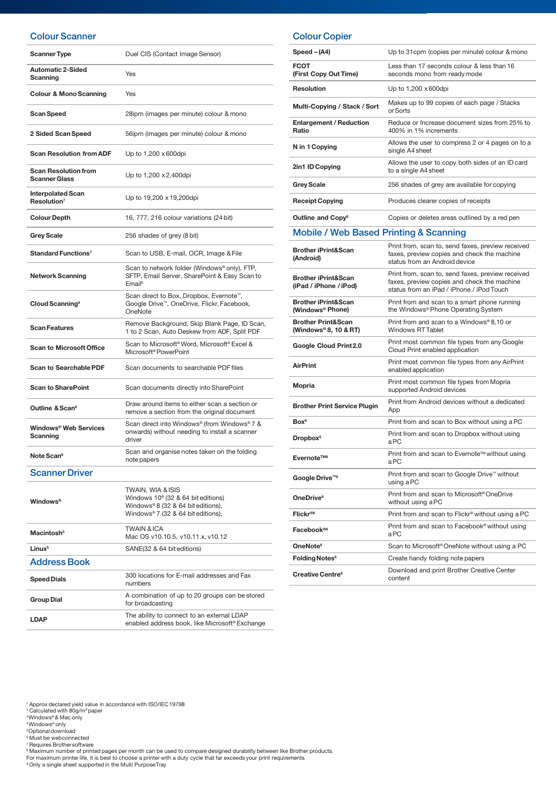## Colour Scanner

| <b>Scanner Type</b>                                 | Duel CIS (Contact Image Sensor)                                                                                                             |
|-----------------------------------------------------|---------------------------------------------------------------------------------------------------------------------------------------------|
| <b>Automatic 2-Sided</b><br>Scanning                | Yes                                                                                                                                         |
| <b>Colour &amp; Mono Scanning</b>                   | Yes                                                                                                                                         |
| Scan Speed                                          | 28ipm (images per minute) colour & mono                                                                                                     |
| 2 Sided Scan Speed                                  | 56ipm (images per minute) colour & mono                                                                                                     |
| <b>Scan Resolution from ADF</b>                     | Up to 1,200 x 600dpi                                                                                                                        |
| <b>Scan Resolution from</b><br><b>Scanner Glass</b> | Up to 1,200 x 2,400 dpi                                                                                                                     |
| <b>Interpolated Scan</b><br>Resolution <sup>7</sup> | Up to 19,200 x 19,200dpi                                                                                                                    |
| <b>Colour Depth</b>                                 | 16, 777, 216 colour variations (24 bit)                                                                                                     |
| <b>Grey Scale</b>                                   | 256 shades of grey (8 bit)                                                                                                                  |
| Standard Functions <sup>7</sup>                     | Scan to USB, E-mail, OCR, Image & File                                                                                                      |
| <b>Network Scanning</b>                             | Scan to network folder (Windows® only), FTP,<br>SFTP, Email Server, SharePoint & Easy Scan to<br>Email <sup>6</sup>                         |
| Cloud Scanning <sup>6</sup>                         | Scan direct to Box, Dropbox, Evernote <sup>™</sup> ,<br>Google Drive <sup>™</sup> , OneDrive, Flickr, Facebook,<br>OneNote                  |
| <b>Scan Features</b>                                | Remove Background, Skip Blank Page, ID Scan,<br>1 to 2 Scan, Auto Deskew from ADF, Split PDF                                                |
| <b>Scan to Microsoft Office</b>                     | Scan to Microsoft <sup>®</sup> Word, Microsoft <sup>®</sup> Excel &<br>Microsoft <sup>®</sup> PowerPoint                                    |
| <b>Scan to Searchable PDF</b>                       | Scan documents to searchable PDF files                                                                                                      |
| <b>Scan to SharePoint</b>                           | Scan documents directly into SharePoint                                                                                                     |
| Outline & Scan <sup>6</sup>                         | Draw around items to either scan a section or<br>remove a section from the original document                                                |
| Windows® Web Services<br>Scanning                   | Scan direct into Windows® (from Windows® 7 &<br>onwards) without needing to install a scanner<br>driver                                     |
| Note Scan <sup>6</sup>                              | Scan and organise notes taken on the folding<br>note papers                                                                                 |
| <b>Scanner Driver</b>                               |                                                                                                                                             |
| <b>Windows</b> <sup>®</sup>                         | TWAIN, WIA & ISIS<br>Windows $10^{\circ}$ (32 & 64 bit editions)<br>Windows® 8 (32 & 64 bit editions),<br>Windows®7 (32 & 64 bit editions), |
| Macintosh <sup>5</sup>                              | <b>TWAIN &amp; ICA</b><br>Mac OS v10.10.5, v10.11.x, v10.12                                                                                 |
| Linux <sup>5</sup>                                  | SANE(32 & 64 bit editions)                                                                                                                  |
| <b>Address Book</b>                                 |                                                                                                                                             |
| <b>Speed Dials</b>                                  | 300 locations for E-mail addresses and Fax<br>numbers                                                                                       |

## Colour Copier

| Speed - (A4)                                                   | Up to 31cpm (copies per minute) colour & mono                                                                                                 |
|----------------------------------------------------------------|-----------------------------------------------------------------------------------------------------------------------------------------------|
| FCOT<br>(First Copy Out Time)                                  | Less than 17 seconds colour & less than 16<br>seconds mono from ready mode                                                                    |
| Resolution                                                     | Up to 1,200 x 600dpi                                                                                                                          |
| Multi-Copying / Stack / Sort                                   | Makes up to 99 copies of each page / Stacks<br>or Sorts                                                                                       |
| <b>Enlargement / Reduction</b><br>Ratio                        | Reduce or Increase document sizes from 25% to<br>400% in 1% increments                                                                        |
| N in 1 Copying                                                 | Allows the user to compress 2 or 4 pages on to a<br>single A4 sheet                                                                           |
| 2in1 ID Copying                                                | Allows the user to copy both sides of an ID card<br>to a single A4 sheet                                                                      |
| <b>Grey Scale</b>                                              | 256 shades of grey are available for copying                                                                                                  |
| <b>Receipt Copying</b>                                         | Produces clearer copies of receipts                                                                                                           |
| Outline and Copy <sup>6</sup>                                  | Copies or deletes areas outlined by a red pen                                                                                                 |
| <b>Mobile / Web Based Printing &amp; Scanning</b>              |                                                                                                                                               |
| <b>Brother iPrint&amp;Scan</b><br>(Android)                    | Print from, scan to, send faxes, preview received<br>faxes, preview copies and check the machine<br>status from an Android device             |
| <b>Brother iPrint&amp;Scan</b><br>(iPad / iPhone / iPod)       | Print from, scan to, send faxes, preview received<br>faxes, preview copies and check the machine<br>status from an iPad / iPhone / iPod Touch |
| <b>Brother iPrint&amp;Scan</b><br>(Windows <sup>®</sup> Phone) | Print from and scan to a smart phone running<br>the Windows® Phone Operating System                                                           |
| <b>Brother Print&amp;Scan</b><br>(Windows® 8, 10 & RT)         | Print from and scan to a Windows® 8,10 or<br><b>Windows RT Tablet</b>                                                                         |
| Google Cloud Print2.0                                          | Print most common file types from any Google<br>Cloud Print enabled application                                                               |
| <b>AirPrint</b>                                                | Print most common file types from any AirPrint<br>enabled application                                                                         |
| Mopria                                                         | Print most common file types from Mopria<br>supported Android devices                                                                         |
| <b>Brother Print Service Plugin</b>                            | Print from Android devices without a dedicated<br>App                                                                                         |
| Box <sup>6</sup>                                               | Print from and scan to Box without using a PC                                                                                                 |
| <b>Dropbox</b> <sup>6</sup>                                    | Print from and scan to Dropbox without using<br>aPC                                                                                           |
| Evernote™ <sup>6</sup>                                         | Print from and scan to Evernote™ without using<br>aPC                                                                                         |
| Google Drive™6                                                 | Print from and scan to Google Drive™ without<br>using a PC                                                                                    |
| OneDrive <sup>6</sup>                                          | Print from and scan to Microsoft <sup>®</sup> OneDrive<br>without using a PC                                                                  |
| Flickr®6                                                       | Print from and scan to Flickr <sup>®</sup> without using a PC                                                                                 |
| Facebook <sup>®6</sup>                                         | Print from and scan to Facebook <sup>®</sup> without using<br>aPC                                                                             |
| OneNote <sup>6</sup>                                           | Scan to Microsoft <sup>®</sup> OneNote without using a PC                                                                                     |
| <b>Folding Notes<sup>6</sup></b>                               | Create handy folding note papers                                                                                                              |
| Creative Centre <sup>6</sup>                                   | Download and print Brother Creative Center<br>content                                                                                         |

<sup>1</sup> Approx declared yield value in accordance with ISO/IEC 19798<br><sup>2</sup> Calculated with 80g/m<sup>2</sup>paper

<sup>s</sup>Windows®& Mac only<br><sup>s</sup>Optional download<br><sup>s</sup>Must be webconnected<br><sup>8</sup>Must be webconnected<br>Paquires Brothersoftware<br>For maximum number of printed pages per month can be used to compare designed durability between like Brot

Group Dial A combination of up to 20 groups can be stored<br>for broadcosting for broadcasting LDAP The ability to connect to an external LDAP enabled address book, like Microsoft® Exchange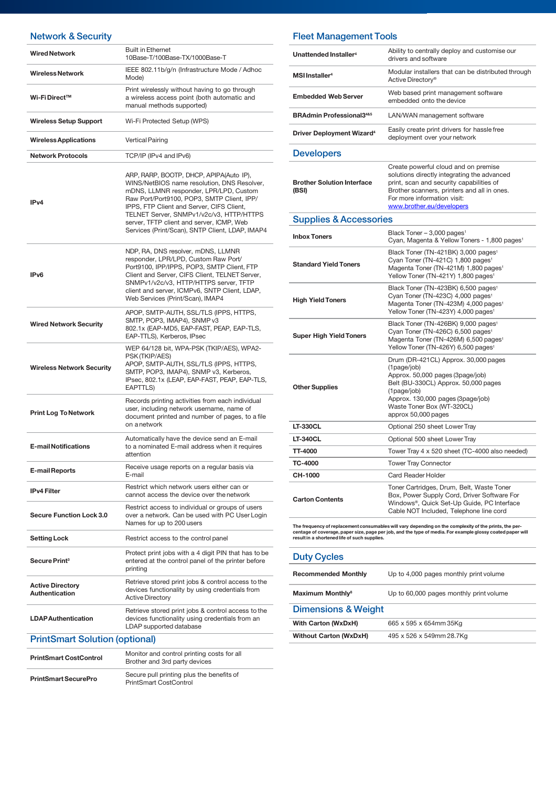## Network & Security

| Network & Security                               |                                                                                                                                                                                                                                                                                                                                                                         |
|--------------------------------------------------|-------------------------------------------------------------------------------------------------------------------------------------------------------------------------------------------------------------------------------------------------------------------------------------------------------------------------------------------------------------------------|
| <b>Wired Network</b>                             | <b>Built in Ethernet</b><br>10Base-T/100Base-TX/1000Base-T                                                                                                                                                                                                                                                                                                              |
| <b>Wireless Network</b>                          | IEEE 802.11b/g/n (Infrastructure Mode / Adhoc<br>Mode)                                                                                                                                                                                                                                                                                                                  |
| Wi-Fi Direct™                                    | Print wirelessly without having to go through<br>a wireless access point (both automatic and<br>manual methods supported)                                                                                                                                                                                                                                               |
| <b>Wireless Setup Support</b>                    | Wi-Fi Protected Setup (WPS)                                                                                                                                                                                                                                                                                                                                             |
| <b>Wireless Applications</b>                     | Vertical Pairing                                                                                                                                                                                                                                                                                                                                                        |
| <b>Network Protocols</b>                         | TCP/IP (IPv4 and IPv6)                                                                                                                                                                                                                                                                                                                                                  |
| IP <sub>v4</sub>                                 | ARP, RARP, BOOTP, DHCP, APIPA(Auto IP),<br>WINS/NetBIOS name resolution, DNS Resolver,<br>mDNS, LLMNR responder, LPR/LPD, Custom<br>Raw Port/Port9100, POP3, SMTP Client, IPP/<br>IPPS, FTP Client and Server, CIFS Client,<br>TELNET Server, SNMPv1/v2c/v3, HTTP/HTTPS<br>server, TFTP client and server, ICMP, Web<br>Services (Print/Scan), SNTP Client, LDAP, IMAP4 |
| IP <sub>v6</sub>                                 | NDP, RA, DNS resolver, mDNS, LLMNR<br>responder, LPR/LPD, Custom Raw Port/<br>Port9100, IPP/IPPS, POP3, SMTP Client, FTP<br>Client and Server, CIFS Client, TELNET Server,<br>SNMPv1/v2c/v3, HTTP/HTTPS server, TFTP<br>client and server, ICMPv6, SNTP Client, LDAP,<br>Web Services (Print/Scan), IMAP4                                                               |
| <b>Wired Network Security</b>                    | APOP, SMTP-AUTH, SSL/TLS (IPPS, HTTPS,<br>SMTP, POP3, IMAP4), SNMP v3<br>802.1x (EAP-MD5, EAP-FAST, PEAP, EAP-TLS,<br>EAP-TTLS), Kerberos, IPsec                                                                                                                                                                                                                        |
| <b>Wireless Network Security</b>                 | WEP 64/128 bit, WPA-PSK (TKIP/AES), WPA2-<br>PSK (TKIP/AES)<br>APOP, SMTP-AUTH, SSL/TLS (IPPS, HTTPS,<br>SMTP, POP3, IMAP4), SNMP v3, Kerberos,<br>IPsec, 802.1x (LEAP, EAP-FAST, PEAP, EAP-TLS,<br>EAPTTLS)                                                                                                                                                            |
| <b>Print Log To Network</b>                      | Records printing activities from each individual<br>user, including network username, name of<br>document printed and number of pages, to a file<br>on a network                                                                                                                                                                                                        |
| <b>E-mail Notifications</b>                      | Automatically have the device send an E-mail<br>to a nominated E-mail address when it requires<br>attention                                                                                                                                                                                                                                                             |
| E-mail Reports                                   | Receive usage reports on a regular basis via<br>F-mail                                                                                                                                                                                                                                                                                                                  |
| <b>IPv4 Filter</b>                               | Restrict which network users either can or<br>cannot access the device over the network                                                                                                                                                                                                                                                                                 |
| <b>Secure Function Lock 3.0</b>                  | Restrict access to individual or groups of users<br>over a network. Can be used with PC User Login<br>Names for up to 200 users                                                                                                                                                                                                                                         |
| <b>Setting Lock</b>                              | Restrict access to the control panel                                                                                                                                                                                                                                                                                                                                    |
| Secure Print <sup>3</sup>                        | Protect print jobs with a 4 digit PIN that has to be<br>entered at the control panel of the printer before<br>printing                                                                                                                                                                                                                                                  |
| <b>Active Directory</b><br><b>Authentication</b> | Retrieve stored print jobs & control access to the<br>devices functionality by using credentials from<br><b>Active Directory</b>                                                                                                                                                                                                                                        |
| <b>LDAP Authentication</b>                       | Retrieve stored print jobs & control access to the<br>devices functionality using credentials from an<br>LDAP supported database                                                                                                                                                                                                                                        |
| <b>PrintSmart Solution (optional)</b>            |                                                                                                                                                                                                                                                                                                                                                                         |
| <b>PrintSmart CostControl</b>                    | Monitor and control printing costs for all<br>Brother and 3rd party devices                                                                                                                                                                                                                                                                                             |
|                                                  |                                                                                                                                                                                                                                                                                                                                                                         |

| PrintSmart SecurePro | Secure pull printing plus the benefits of |
|----------------------|-------------------------------------------|
|                      | <b>PrintSmart CostControl</b>             |

## Fleet Management Tools

| Unattended Installer <sup>4</sup>           | Ability to centrally deploy and customise our<br>drivers and software                                                                                                                                                                      |
|---------------------------------------------|--------------------------------------------------------------------------------------------------------------------------------------------------------------------------------------------------------------------------------------------|
| <b>MSI Installer<sup>4</sup></b>            | Modular installers that can be distributed through<br>Active Directory <sup>®</sup>                                                                                                                                                        |
| <b>Embedded Web Server</b>                  | Web based print management software<br>embedded onto the device                                                                                                                                                                            |
| <b>BRAdmin Professional34&amp;5</b>         | LAN/WAN management software                                                                                                                                                                                                                |
| <b>Driver Deployment Wizard<sup>4</sup></b> | Easily create print drivers for hassle free<br>deployment over your network                                                                                                                                                                |
| <b>Developers</b>                           |                                                                                                                                                                                                                                            |
| <b>Brother Solution Interface</b><br>(BSI)  | Create powerful cloud and on premise<br>solutions directly integrating the advanced<br>print, scan and security capabilities of<br>Brother scanners, printers and all in ones.<br>For more information visit:<br>www.brother.eu/developers |
| <b>Supplies &amp; Accessories</b>           |                                                                                                                                                                                                                                            |
| <b>Inbox Toners</b>                         | Black Toner - 3,000 pages <sup>1</sup><br>Cyan, Magenta & Yellow Toners - 1,800 pages <sup>1</sup>                                                                                                                                         |
| <b>Standard Yield Toners</b>                | Black Toner (TN-421BK) 3,000 pages <sup>1</sup><br>Cyan Toner (TN-421C) 1,800 pages <sup>1</sup><br>Magenta Toner (TN-421M) 1,800 pages <sup>1</sup><br>Yellow Toner (TN-421Y) 1,800 pages <sup>1</sup>                                    |
| <b>High Yield Toners</b>                    | Black Toner (TN-423BK) 6,500 pages <sup>1</sup><br>Cyan Toner (TN-423C) 4,000 pages <sup>1</sup><br>Magenta Toner (TN-423M) 4,000 pages <sup>1</sup><br>Yellow Toner (TN-423Y) 4,000 pages <sup>1</sup>                                    |
| <b>Super High Yield Toners</b>              | Black Toner (TN-426BK) 9,000 pages <sup>1</sup><br>Cyan Toner (TN-426C) 6,500 pages <sup>1</sup><br>Magenta Toner (TN-426M) 6,500 pages <sup>1</sup><br>Yellow Toner (TN-426Y) 6,500 pages <sup>1</sup>                                    |
| <b>Other Supplies</b>                       | Drum (DR-421CL) Approx. 30,000 pages<br>(1page/job)<br>Approx. 50,000 pages (3page/job)<br>Belt (BU-330CL) Approx. 50,000 pages<br>(1page/job)<br>Approx. 130,000 pages (3page/job)<br>Waste Toner Box (WT-320CL)<br>approx 50,000 pages   |
| <b>LT-330CL</b>                             | Optional 250 sheet Lower Tray                                                                                                                                                                                                              |
| <b>LT-340CL</b>                             | Optional 500 sheet Lower Tray                                                                                                                                                                                                              |
| <b>TT-4000</b>                              | Tower Tray 4 x 520 sheet (TC-4000 also needed)                                                                                                                                                                                             |
| <b>TC-4000</b>                              | <b>Tower Tray Connector</b>                                                                                                                                                                                                                |
| CH-1000                                     | <b>Card Reader Holder</b>                                                                                                                                                                                                                  |
| <b>Carton Contents</b>                      | Toner Cartridges, Drum, Belt, Waste Toner<br>Box, Power Supply Cord, Driver Software For<br>Windows®, Quick Set-Up Guide, PC Interface<br>Cable NOT Included, Telephone line cord                                                          |

The frequency of replacement consumables will vary depending on the complexity of the prints, the per-<br>centage of coverage, paper size, page per job, and the type of media. For example glossy coated paper will<br>result in a

| <b>Duty Cycles</b>            |                                         |
|-------------------------------|-----------------------------------------|
| <b>Recommended Monthly</b>    | Up to 4,000 pages monthly print volume  |
| Maximum Monthly <sup>8</sup>  | Up to 60,000 pages monthly print volume |
| Dimensions & Weight           |                                         |
| With Carton (WxDxH)           | 665 x 595 x 654mm 35Ka                  |
| <b>Without Carton (WxDxH)</b> | 495 x 526 x 549mm 28.7Kg                |
|                               |                                         |